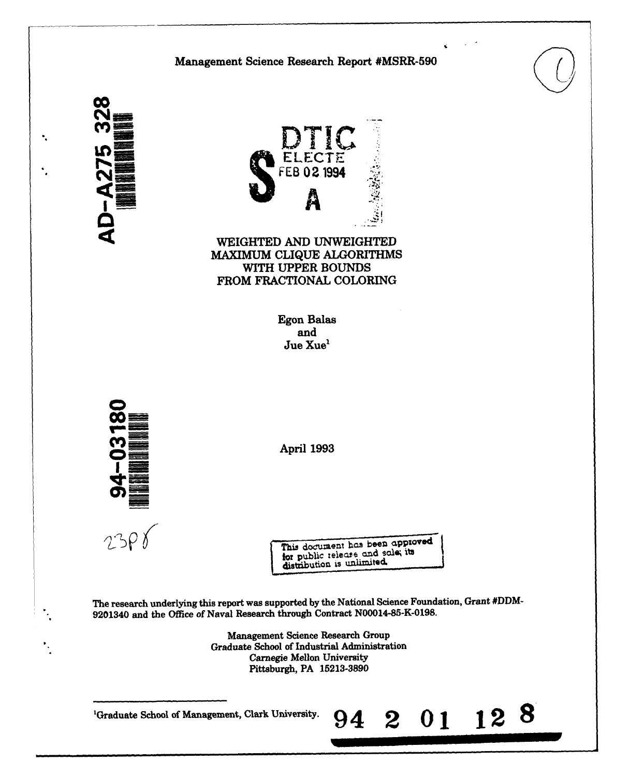



WEIGHTED AND UNWEIGHTED MAXIMUM CLIQUE ALGORITHMS WITH UPPER BOUNDS FROM FRACTIONAL COLORING

> Egon Balas and Jue Xue'



**I=**\_\_\_ April 1993

This document has been approved for public teleare and sale, its

The research underlying this report was supported by the National Science Foundation, Grant #DDM- 9201340 and the Office of Naval Research through Contract N00014-85-K-0198.

> Management Science Research Group "Graduate School of Industrial Administration Carnegie Mellon University Pittsburgh, PA 15213-3890

'Graduate School of Management, Clark University. 94 2 **0 1** 12 **8**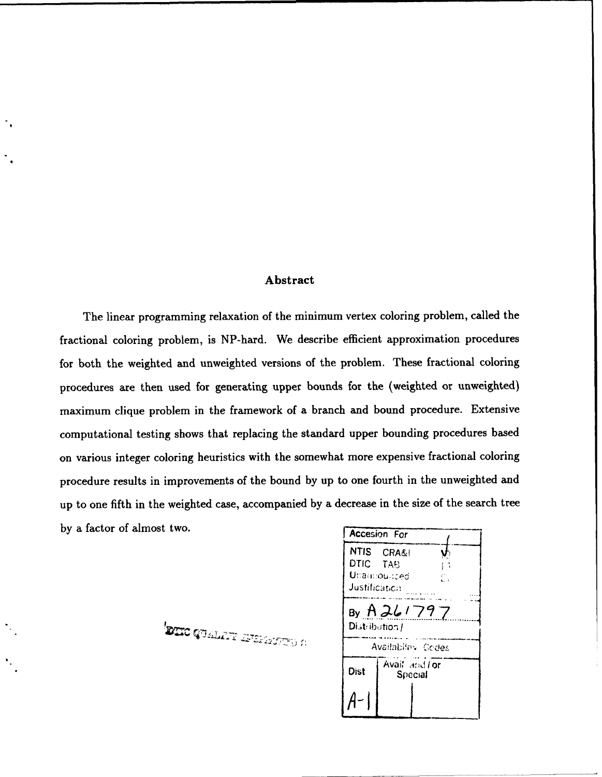### Abstract

The linear programming relaxation of the minimum vertex coloring problem, called the fractional coloring problem, is NP-hard. We describe efficient approximation procedures for both the weighted and unweighted versions of the problem. These fractional coloring procedures are then used for generating upper bounds for the (weighted or unweighted) maximum clique problem in the framework of a branch and bound procedure. Extensive computational testing shows that replacing the standard upper bounding procedures based on various integer coloring heuristics with the somewhat more expensive fractional coloring procedure results in improvements of the bound by up to one fourth in the unweighted and up to one fifth in the weighted case, accompanied by a decrease in the size of the search tree by a factor of almost two.

DIE GUALTY IFERSITED A

NTIS CRA&I  $\mathbf{V}$ DTIC TAB  $\mathbb{R}^2$ Unamounced<br>Justification By  $AZ$ Distribution / Availability Codes Dist | Special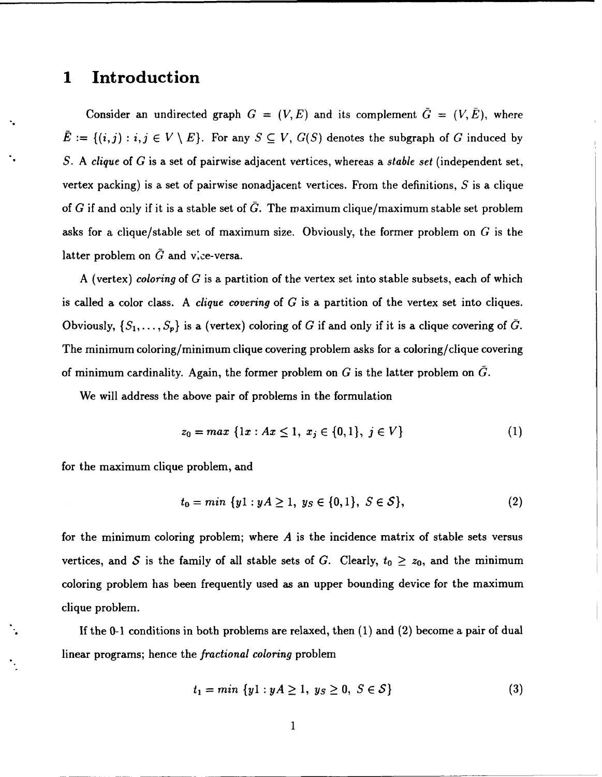### **<sup>1</sup>**Introduction

Consider an undirected graph  $G = (V, E)$  and its complement  $\overline{G} = (V, \overline{E})$ , where  $\bar{E} := \{(i,j) : i, j \in V \setminus E\}$ . For any  $S \subseteq V$ ,  $G(S)$  denotes the subgraph of G induced by *S.* A clique of G is a set of pairwise adjacent vertices, whereas a *stable set* (independent set, vertex packing) is a set of pairwise nonadjacent vertices. From the definitions,  $S$  is a clique of G if and only if it is a stable set of  $\bar{G}$ . The maximum clique/maximum stable set problem asks for a clique/stable set of maximum size. Obviously, the former problem on  $G$  is the latter problem on  $\tilde{G}$  and vice-versa.

A (vertex) coloring of  $G$  is a partition of the vertex set into stable subsets, each of which is called a color class. A clique *covering* of G is a partition of the vertex set into cliques. Obviously,  $\{S_1,\ldots,S_p\}$  is a (vertex) coloring of G if and only if it is a clique covering of  $\bar{G}$ . The minimum coloring/minimum clique covering problem asks for a coloring/clique covering of minimum cardinality. Again, the former problem on  $G$  is the latter problem on  $G$ .

We will address the above pair of problems in the formulation

$$
z_0 = max \{1x : Ax \le 1, x_j \in \{0, 1\}, j \in V\}
$$
 (1)

for the maximum clique problem, and

$$
t_0 = \min \{ y1 : yA \ge 1, \ y_S \in \{0, 1\}, \ S \in \mathcal{S} \},\tag{2}
$$

for the minimum coloring problem; where  $A$  is the incidence matrix of stable sets versus vertices, and S is the family of all stable sets of G. Clearly,  $t_0 \ge z_0$ , and the minimum coloring problem has been frequently used as an upper bounding device for the maximum clique problem.

If the 0-1 conditions in both problems are relaxed, then  $(1)$  and  $(2)$  become a pair of dual linear programs; hence the fractional coloring problem

$$
t_1 = \min \{ y1 : yA \ge 1, \ y_S \ge 0, \ S \in \mathcal{S} \}
$$
 (3)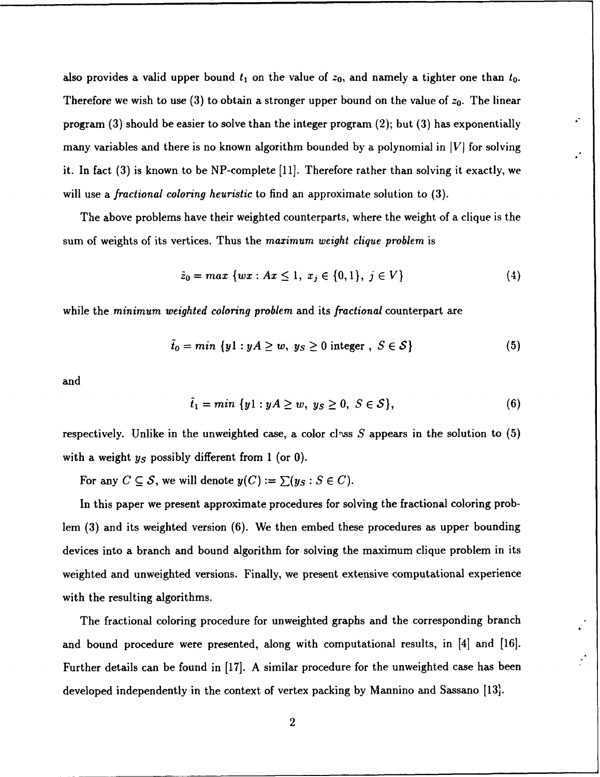also provides a valid upper bound  $t_1$  on the value of  $z_0$ , and namely a tighter one than  $t_0$ . Therefore we wish to use  $(3)$  to obtain a stronger upper bound on the value of  $z_0$ . The linear program  $(3)$  should be easier to solve than the integer program  $(2)$ ; but  $(3)$  has exponentially many variables and there is no known algorithm bounded by a polynomial in  $|V|$  for solving it. In fact (3) is known to be NP-complete [11]. Therefore rather than solving it exactly, we will use a fractional coloring *heuristic* to find an approximate solution to (3).

The above problems have their weighted counterparts, where the weight of a clique is the sum of weights of its vertices. Thus the maximum *weight clique* problem is

$$
\tilde{z}_0 = max \{ wx : Ax \le 1, x_j \in \{0, 1\}, j \in V \}
$$
 (4)

while the minimum *weighted coloring* problem and its fractional counterpart are

$$
\tilde{t}_0 = min \{ y1 : yA \ge w, \ y_S \ge 0 \text{ integer }, \ S \in \mathcal{S} \}
$$
 (5)

and

$$
\tilde{t}_1 = \min \{ y1 : yA \ge w, \ y_S \ge 0, \ S \in \mathcal{S} \},\tag{6}
$$

respectively. Unlike in the unweighted case, a color class S appears in the solution to (5) with a weight  $y<sub>S</sub>$  possibly different from 1 (or 0).

For any  $C \subseteq S$ , we will denote  $y(C) := \sum (y_S : S \in C)$ .

In this paper we present approximate procedures for solving the fractional coloring problem (3) and its weighted version (6). We then embed these procedures as upper bounding devices into a branch and bound algorithm for solving the maximum clique problem in its weighted and unweighted versions. Finally, we present extensive computational experience with the resulting algorithms.

The fractional coloring procedure for unweighted graphs and the corresponding branch and bound procedure were presented, along with computational results, in [41 and **[16].** Further details can be found in [17]. A similar procedure for the unweighted case has been developed independently in the context of vertex packing by Mannino and Sassano [13].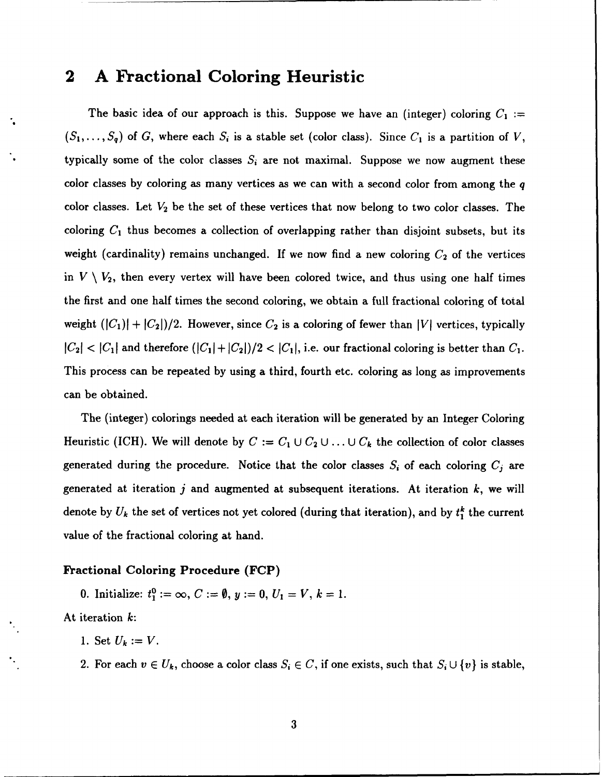## 2 **A** Fractional Coloring Heuristic

The basic idea of our approach is this. Suppose we have an (integer) coloring  $C_1$  :=  $(S_1, \ldots, S_q)$  of G, where each  $S_i$  is a stable set (color class). Since  $C_1$  is a partition of V, typically some of the color classes  $S_i$  are not maximal. Suppose we now augment these color classes by coloring as many vertices as we can with a second color from among the q color classes. Let  $V_2$  be the set of these vertices that now belong to two color classes. The coloring *C1* thus becomes a collection of overlapping rather than disjoint subsets, but its weight (cardinality) remains unchanged. If we now find a new coloring  $C_2$  of the vertices in  $V \setminus V_2$ , then every vertex will have been colored twice, and thus using one half times the first and one half times the second coloring, we obtain a full fractional coloring of total weight  $(|C_1| + |C_2|)/2$ . However, since  $C_2$  is a coloring of fewer than |V| vertices, typically  $|C_2| < |C_1|$  and therefore  $(|C_1| + |C_2|)/2 < |C_1|$ , i.e. our fractional coloring is better than  $C_1$ . This process can be repeated by using a third, fourth etc. coloring as long as improvements can be obtained.

The (integer) colorings needed at each iteration will be generated by an Integer Coloring Heuristic (ICH). We will denote by  $C := C_1 \cup C_2 \cup \ldots \cup C_k$  the collection of color classes generated during the procedure. Notice that the color classes  $S_i$  of each coloring  $C_j$  are generated at iteration  $j$  and augmented at subsequent iterations. At iteration  $k$ , we will denote by  $U_k$  the set of vertices not yet colored (during that iteration), and by  $t_1^k$  the current value of the fractional coloring at hand.

### Fractional Coloring Procedure (FCP)

0. Initialize:  $t_1^0 := \infty$ ,  $C := \emptyset$ ,  $y := 0$ ,  $U_1 = V$ ,  $k = 1$ .

At iteration k:

- 1. Set  $U_k := V$ .
- 2. For each  $v \in U_k$ , choose a color class  $S_i \in C$ , if one exists, such that  $S_i \cup \{v\}$  is stable,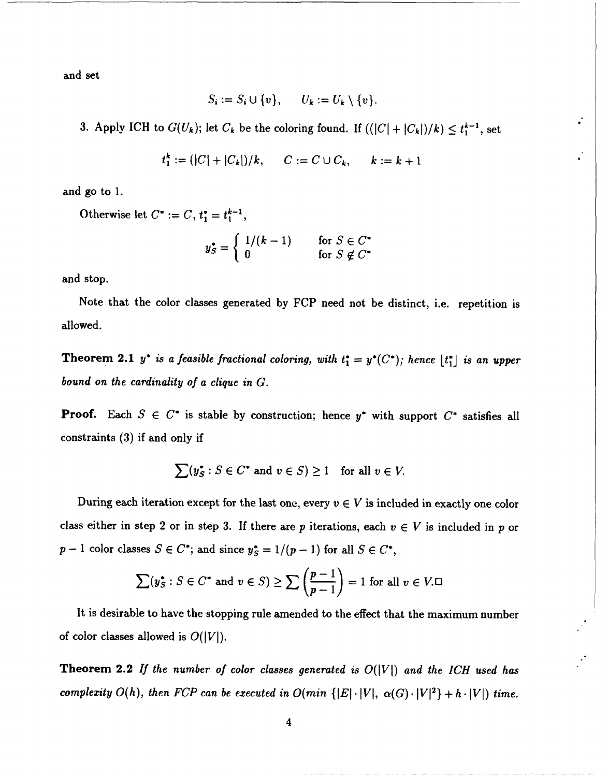and set

$$
S_i := S_i \cup \{v\}, \qquad U_k := U_k \setminus \{v\}.
$$

3. Apply ICH to  $G(U_k)$ ; let  $C_k$  be the coloring found. If  $((|C|+|C_k|)/k) \leq t_1^{k-1}$ , set

$$
t_1^k := (|C| + |C_k|)/k
$$
,  $C := C \cup C_k$ ,  $k := k + 1$ 

and go to 1.

Otherwise let  $C^* := C$ ,  $t_1^* = t_1^{k-1}$ ,  $\bullet$   $\bullet$   $\begin{array}{ccc} \text{if} & 1/(k-1) & \text{if} & \text{if} & S \in C^* \end{array}$  $\zeta = \begin{cases} 0 & \text{if } S \notin C^* \end{cases}$ 

and stop.

Note that the color classes generated by FCP need not be distinct, i.e. repetition is allowed.

Theorem 2.1  $y^*$  is a feasible fractional coloring, with  $t_1^* = y^*(C^*)$ ; hence  $\lfloor t_1^* \rfloor$  is an upper bound on the cardinality *of* a clique in *G.*

**Proof.** Each  $S \in C^*$  is stable by construction; hence  $y^*$  with support  $C^*$  satisfies all constraints **(3)** if and only if

$$
\sum(y_S^*: S \in C^* \text{ and } v \in S) \ge 1 \quad \text{for all } v \in V.
$$

During each iteration except for the last one, every  $v \in V$  is included in exactly one color class either in step 2 or in step 3. If there are p iterations, each  $v \in V$  is included in p or  $p-1$  color classes  $S \in C^*$ ; and since  $y_S^* = 1/(p-1)$  for all  $S \in C^*$ ,

$$
\sum(y_S^*: S \in C^* \text{ and } v \in S) \ge \sum \left(\frac{p-1}{p-1}\right) = 1 \text{ for all } v \in V.
$$

It is desirable to have the stopping rule amended to the effect that the maximum number of color classes allowed is  $O(|V|)$ .

Theorem 2.2 *If the* number *of color classes generated is* 0(IVI) and *the ICH used has complexity*  $O(h)$ *, then FCP can be executed in*  $O(min \{ |E| \cdot |V|, \alpha(G) \cdot |V|^2 \} + h \cdot |V|)$  *time.*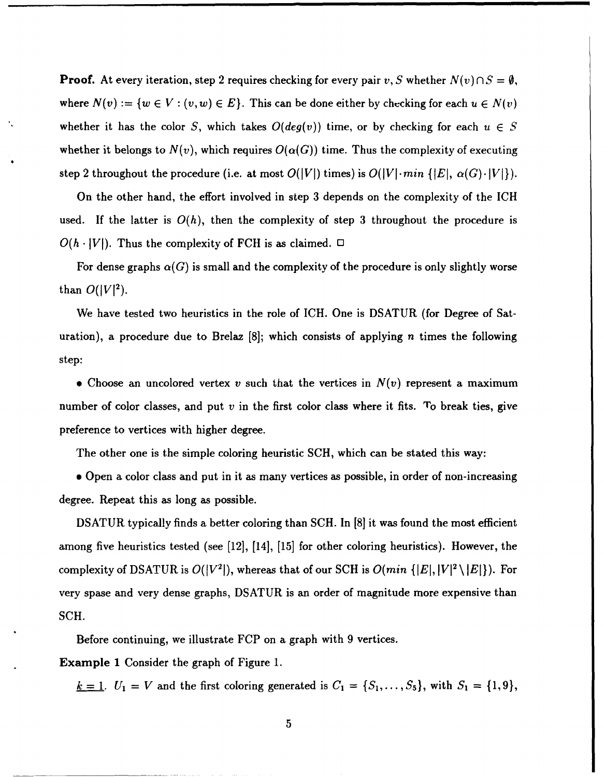**Proof.** At every iteration, step 2 requires checking for every pair  $v, S$  whether  $N(v) \cap S = \emptyset$ , where  $N(v) := \{w \in V : (v, w) \in E\}$ . This can be done either by checking for each  $u \in N(v)$ whether it has the color S, which takes  $O(deg(v))$  time, or by checking for each  $u \in S$ whether it belongs to  $N(v)$ , which requires  $O(\alpha(G))$  time. Thus the complexity of executing step 2 throughout the procedure (i.e. at most  $O(|V|)$  times) is  $O(|V| \cdot min \{ |E|, \alpha(G) \cdot |V| \}).$ 

On the other hand, the effort involved in step 3 depends on the complexity of the ICH used. If the latter is  $O(h)$ , then the complexity of step 3 throughout the procedure is  $O(h \cdot |V|)$ . Thus the complexity of FCH is as claimed.  $\Box$ 

For dense graphs  $\alpha(G)$  is small and the complexity of the procedure is only slightly worse than  $O(|V|^2)$ .

We have tested two heuristics in the role of ICH. One is DSATUR (for Degree of Saturation), a procedure due to Brelaz  $[8]$ ; which consists of applying n times the following step:

• Choose an uncolored vertex v such that the vertices in  $N(v)$  represent a maximum number of color classes, and put  $v$  in the first color class where it fits. To break ties, give preference to vertices with higher degree.

The other one is the simple coloring heuristic SCH, which can be stated this way:

**e** Open a color class and put in it as many vertices as possible, in order of non-increasing degree. Repeat this as long as possible.

DSATUR typically finds a better coloring than **SCH.** In [8] it was found the most efficient among five heuristics tested (see [12], [14], [15] for other coloring heuristics). However, the complexity of DSATUR is  $O(|V^2|)$ , whereas that of our SCH is  $O(min\{|E|, |V|^2 \setminus |E|\})$ . For very spase and very dense graphs, DSATUR is an order of magnitude more expensive than SCH.

Before continuing, we illustrate FCP on a graph with 9 vertices.

Example 1 Consider the graph of Figure 1.

*k* = 1.  $U_1 = V$  and the first coloring generated is  $C_1 = \{S_1, \ldots, S_5\}$ , with  $S_1 = \{1, 9\}$ ,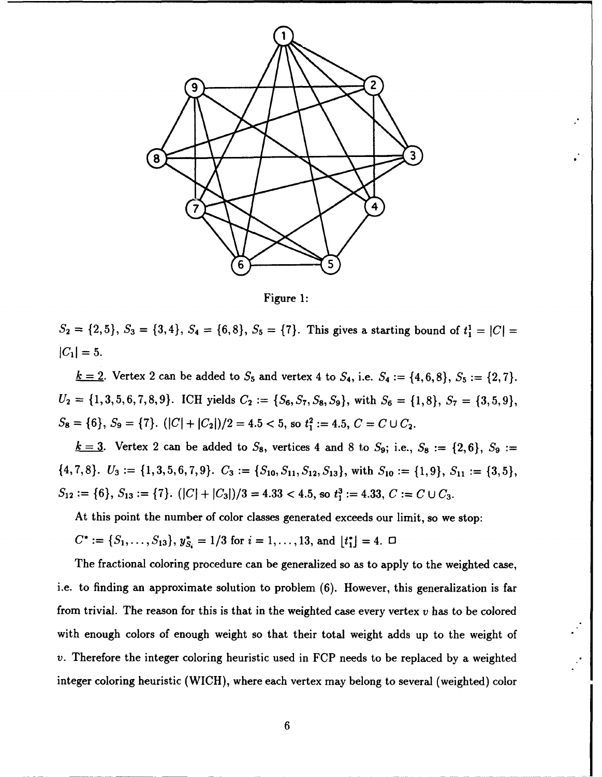

Figure 1:

 $S_2 = \{2,5\}, S_3 = \{3,4\}, S_4 = \{6,8\}, S_5 = \{7\}.$  This gives a starting bound of  $t_1^1 = |C| =$  $|C_1| = 5.$ 

*k* = 2. Vertex 2 can be added to  $S_5$  and vertex 4 to  $S_4$ , i.e.  $S_4 := \{4, 6, 8\}, S_5 := \{2, 7\}.$  $U_2 = \{1,3,5,6,7,8,9\}$ . ICH yields  $C_2 := \{S_6, S_7, S_8, S_9\}$ , with  $S_6 = \{1,8\}, S_7 = \{3,5,9\}$ ,  $S_8 = \{6\}, S_9 = \{7\}.$   $(|C| + |C_2|)/2 = 4.5 < 5$ , so  $t_1^2 := 4.5$ ,  $C = C \cup C_2$ .

 $k = 3$ . Vertex 2 can be added to  $S_8$ , vertices 4 and 8 to  $S_9$ ; i.e.,  $S_8 := \{2,6\}$ ,  $S_9 :=$  $\{4,7,8\}.$   $U_3 := \{1,3,5,6,7,9\}.$   $C_3 := \{S_{10}, S_{11}, S_{12}, S_{13}\}\$ , with  $S_{10} := \{1,9\}, S_{11} := \{3,5\},\$  $S_{12} := \{6\}, S_{13} := \{7\}.$   $(|C| + |C_3|)/3 = 4.33 < 4.5$ , so  $t_1^3 := 4.33$ ,  $C := C \cup C_3$ .

At this point the number of color classes generated exceeds our limit, so we stop:

 $C^* := \{S_1, \ldots, S_{13}\}, y_{S_i}^* = 1/3$  for  $i = 1, \ldots, 13$ , and  $\lfloor t_1^* \rfloor = 4$ .  $\Box$ 

The fractional coloring procedure can be generalized so as to apply to the weighted case, i.e. to finding an approximate solution to problem (6). However, this generalization is far from trivial. The reason for this is that in the weighted case every vertex  $v$  has to be colored with enough colors of enough weight so that their total weight adds up to the weight of v. Therefore the integer coloring heuristic used in FCP needs to be replaced by a weighted integer coloring heuristic (WICH), where each vertex may belong to several (weighted) color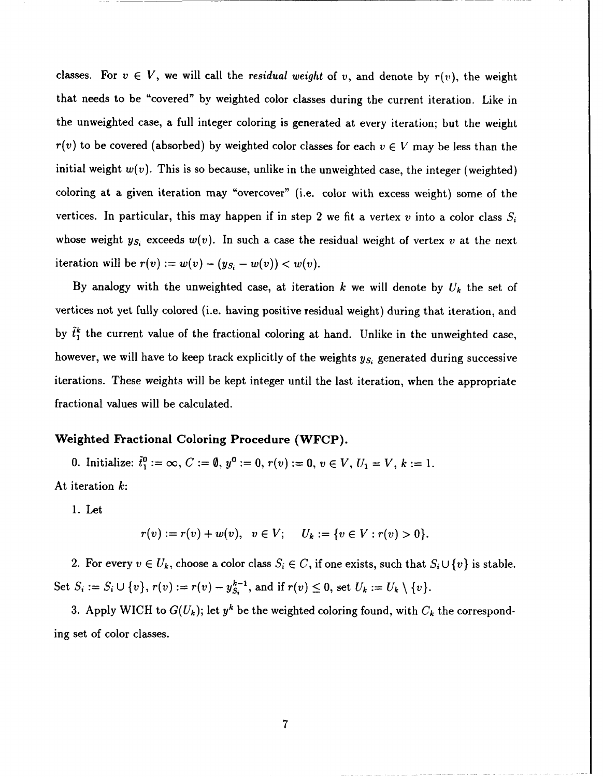classes. For  $v \in V$ , we will call the residual weight of v, and denote by  $r(v)$ , the weight that needs to be "covered" by weighted color classes during the current iteration. Like in the unweighted case, a full integer coloring is generated at every iteration; but the weight  $r(v)$  to be covered (absorbed) by weighted color classes for each  $v \in V$  may be less than the initial weight  $w(v)$ . This is so because, unlike in the unweighted case, the integer (weighted) coloring at a given iteration may "overcover" (i.e. color with excess weight) some of the vertices. In particular, this may happen if in step 2 we fit a vertex  $v$  into a color class  $S_i$ whose weight  $y_{S_i}$  exceeds  $w(v)$ . In such a case the residual weight of vertex v at the next iteration will be  $r(v) := w(v) - (y_{S_i} - w(v)) < w(v)$ .

By analogy with the unweighted case, at iteration k we will denote by  $U_k$  the set of vertices not yet fully colored (i.e. having positive residual weight) during that iteration, and by  $\tilde{t}_1^k$  the current value of the fractional coloring at hand. Unlike in the unweighted case, however, we will have to keep track explicitly of the weights *Ys,* generated during successive iterations. These weights will be kept integer until the last iteration, when the appropriate fractional values will be calculated.

### Weighted Fractional Coloring Procedure (WFCP).

0. Initialize:  $\tilde{t}_{1}^{0} := \infty$ ,  $C := \emptyset$ ,  $y^{0} := 0$ ,  $r(v) := 0$ ,  $v \in V$ ,  $U_{1} = V$ ,  $k := 1$ . At iteration k:

1. Let

$$
r(v) := r(v) + w(v), \quad v \in V; \quad U_k := \{v \in V : r(v) > 0\}.
$$

2. For every  $v \in U_k$ , choose a color class  $S_i \in C$ , if one exists, such that  $S_i \cup \{v\}$  is stable. Set  $S_i := S_i \cup \{v\}, r(v) := r(v) - y_{S_i}^{k-1}$ , and if  $r(v) \leq 0$ , set  $U_k := U_k \setminus \{v\}.$ 

3. Apply WICH to  $G(U_k)$ ; let  $y^k$  be the weighted coloring found, with  $C_k$  the corresponding set of color classes.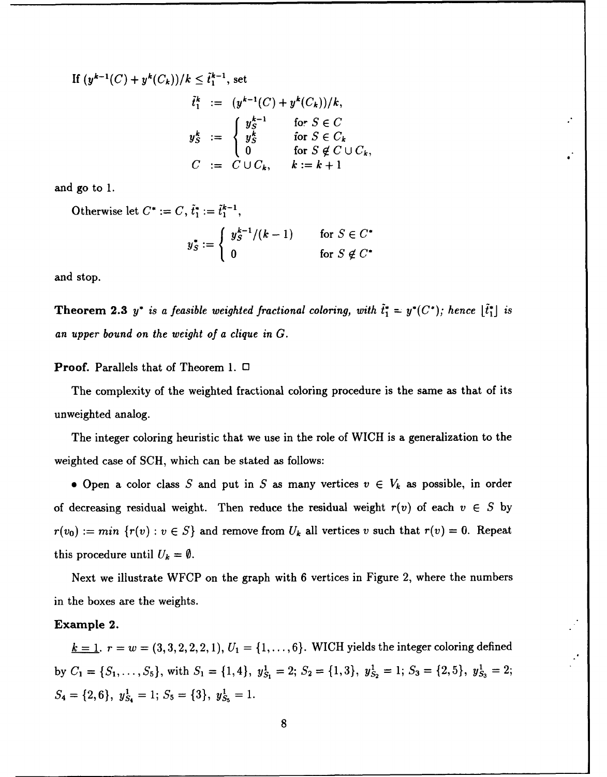If 
$$
(y^{k-1}(C) + y^k(C_k))/k \leq \tilde{t}_1^{k-1}
$$
, set

$$
\tilde{t}_1^k := (y^{k-1}(C) + y^k(C_k))/k,
$$
\n
$$
y_S^k := \begin{cases}\ny_S^{k-1} & \text{for } S \in C \\
y_S^k & \text{for } S \in C_k \\
0 & \text{for } S \notin C \cup C_k, \\
C := C \cup C_k, & k := k+1\n\end{cases}
$$

and go to 1.

Otherwise let  $C^* := C, \tilde{t}_1^* := \tilde{t}_1^{k-1}$ ,

$$
y_S^* := \begin{cases} y_S^{k-1}/(k-1) & \text{for } S \in C^* \\ 0 & \text{for } S \notin C^* \end{cases}
$$

and stop.

**Theorem 2.3** *y*<sup>\*</sup> *is a feasible weighted fractional coloring, with*  $\tilde{t}_1^* = y^*(C^*)$ *; hence*  $[\tilde{t}_1^*]$  *is* an upper bound on *the weight of a* clique in *G.*

Proof. Parallels that of Theorem 1. **0**

The complexity of the weighted fractional coloring procedure is the same as that of its unweighted analog.

The integer coloring heuristic that we use in the role of WICH is a generalization to the weighted case of SCH, which can be stated as follows:

**e** Open a color class S and put in S as many vertices  $v \in V_k$  as possible, in order of decreasing residual weight. Then reduce the residual weight  $r(v)$  of each  $v \in S$  by  $r(v_0) := min \{r(v) : v \in S\}$  and remove from  $U_k$  all vertices v such that  $r(v) = 0$ . Repeat this procedure until  $U_k = \emptyset$ .

Next we illustrate WFCP on the graph with 6 vertices in Figure 2, where the numbers in the boxes are the weights.

#### Example 2.

 $k = 1$ .  $r = w = (3, 3, 2, 2, 2, 1), U_1 = \{1, \ldots, 6\}$ . WICH yields the integer coloring defined by  $C_1 = \{S_1, \ldots, S_5\}$ , with  $S_1 = \{1, 4\}$ ,  $y_{S_1}^1 = 2$ ;  $S_2 = \{1, 3\}$ ,  $y_{S_2}^1 = 1$ ;  $S_3 = \{2, 5\}$ ,  $y_{S_3}^1 = 2$ ;  $S_4 = \{2, 6\}, y_{S_4}^1 = 1; S_5 = \{3\}, y_{S_5}^1 = 1.$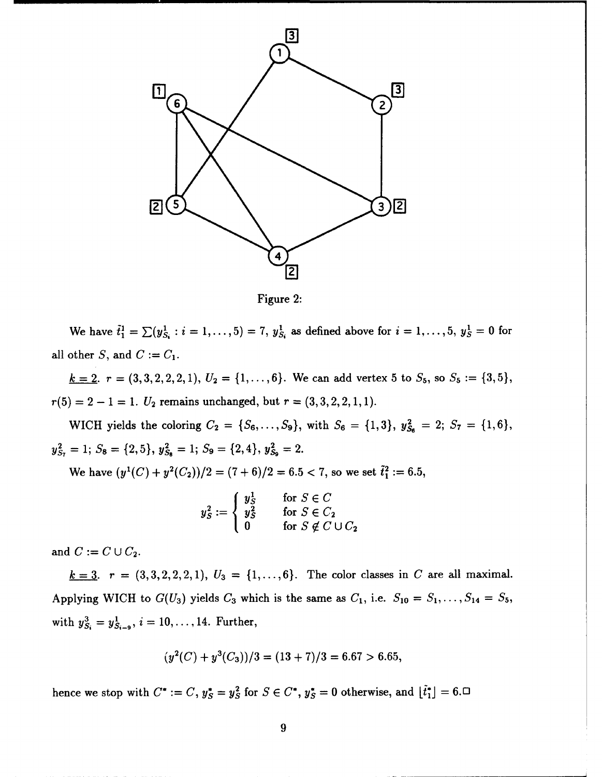

Figure 2:

We have  $\tilde{t}_1^1 = \sum (y_{S_i}^1 : i = 1, ..., 5) = 7$ ,  $y_{S_i}^1$  as defined above for  $i = 1, ..., 5$ ,  $y_S^1 = 0$  for all other *S*, and  $C := C_1$ .

 $\underline{k} = 2$ .  $r = (3,3,2,2,2,1), U_2 = \{1,\ldots,6\}$ . We can add vertex 5 to  $S_5$ , so  $S_5 := \{3,5\}$ ,  $r(5) = 2 - 1 = 1$ .  $U_2$  remains unchanged, but  $r = (3,3,2,2,1,1)$ .

WICH yields the coloring  $C_2 = \{S_6, \ldots, S_9\}$ , with  $S_6 = \{1,3\}$ ,  $y_{S_6}^2 = 2$ ;  $S_7 = \{1,6\}$ ,  $y_{S_7}^2 = 1$ ;  $S_8 = \{2, 5\}$ ,  $y_{S_8}^2 = 1$ ;  $S_9 = \{2, 4\}$ ,  $y_{S_9}^2 = 2$ .

We have  $(y^1(C) + y^2(C_2))/2 = (7 + 6)/2 = 6.5 < 7$ , so we set  $\tilde{t}_1^2 := 6.5$ . **Y'** for *SE C*

$$
y_S^2 := \begin{cases} y_S^1 & \text{for } S \in C \\ y_S^2 & \text{for } S \in C_2 \\ 0 & \text{for } S \notin C \cup C_2 \end{cases}
$$

and  $C := C \cup C_2$ .

 $k = 3$ .  $r = (3, 3, 2, 2, 2, 1), U_3 = \{1, ..., 6\}$ . The color classes in C are all maximal. Applying WICH to  $G(U_3)$  yields  $C_3$  which is the same as  $C_1$ , i.e.  $S_{10} = S_1, \ldots, S_{14} = S_5$ , with  $y_{S_i}^3 = y_{S_{i-9}}^1$ ,  $i = 10, ..., 14$ . Further,

$$
(y2(C) + y3(C3))/3 = (13 + 7)/3 = 6.67 > 6.65,
$$

hence we stop with  $C^* := C$ ,  $y_S^* = y_S^2$  for  $S \in C^*$ ,  $y_S^* = 0$  otherwise, and  $\lfloor \tilde{t}_1^* \rfloor = 6$ .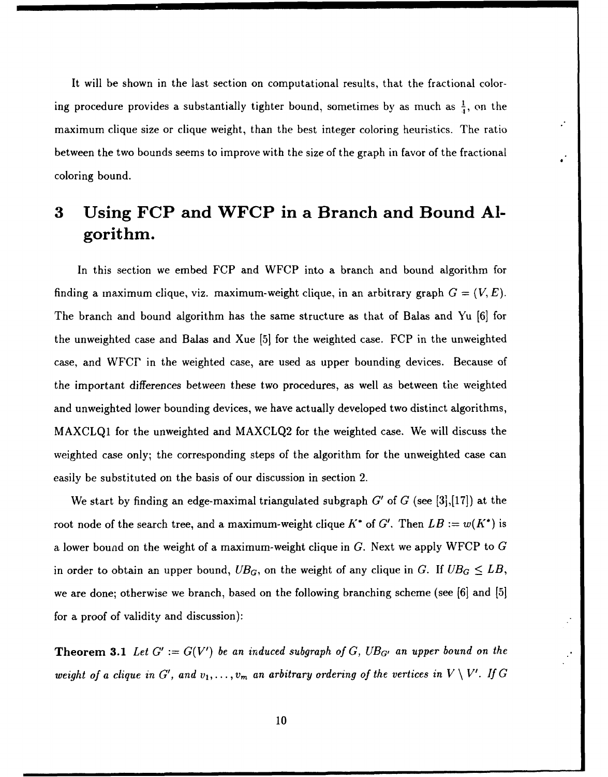It will be shown in the last section on computational results, that the fractional coloring procedure provides a substantially tighter bound, sometimes by as much as  $\frac{1}{4}$ , on the maximum clique size or clique weight, than the best integer coloring heuristics. The ratio between the two bounds seems to improve with the size of the graph in favor of the fractional coloring bound.

# **3** Using FCP and WFCP in a Branch and Bound **Al**gorithm.

In this section we embed FCP and WFCP into a branch and bound algorithm for finding a maximum clique, viz. maximum-weight clique, in an arbitrary graph  $G = (V, E)$ . The branch and bound algorithm has the same structure as that of Balas and Yu **[6]** for the unweighted case and Balas and Xue [5] for the weighted case. FCP in the unweighted case, and WFCP in the weighted case, are used as upper bounding devices. Because of the important differences between these two procedures, as well as between the weighted and unweighted lower bounding devices, we have actually developed two distinct algorithms, MAXCLQ1 for the unweighted and MAXCLQ2 for the weighted case. We will discuss the weighted case only; the corresponding steps of the algorithm for the unweighted case can easily be substituted on the basis of our discussion in section 2.

We start by finding an edge-maximal triangulated subgraph G' of G (see [3],[17]) at the root node of the search tree, and a maximum-weight clique  $K^*$  of  $G'$ . Then  $LB := w(K^*)$  is a lower bound on the weight of a maximum-weight clique in G. Next we apply WFCP to G in order to obtain an upper bound,  $UB_G$ , on the weight of any clique in *G*. If  $UB_G \leq LB$ , we are done; otherwise we branch, based on the following branching scheme (see **[61** and [5] for a proof of validity and discussion):

**Theorem 3.1** Let  $G' := G(V')$  be an induced subgraph of G,  $UB_{G'}$  an upper bound on the *weight of a clique in G', and*  $v_1, \ldots, v_m$  *an arbitrary ordering of the vertices in*  $V \setminus V'$ *. If G*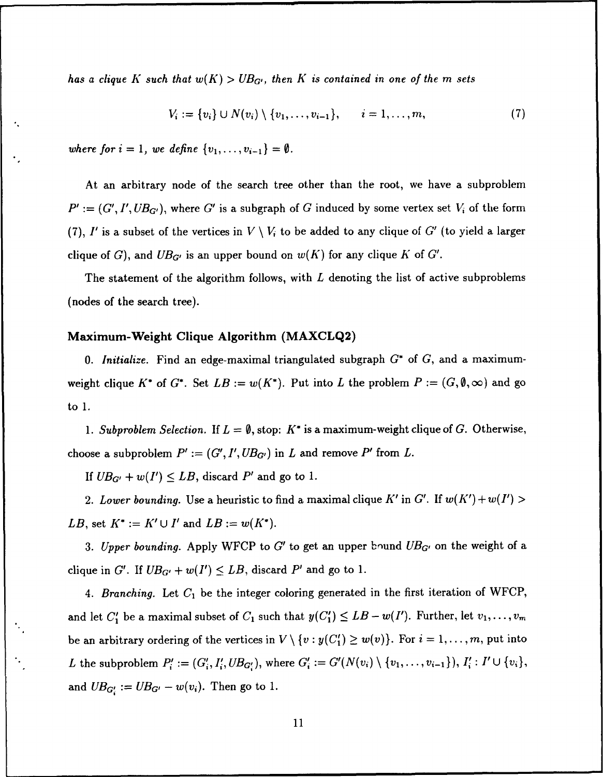*has a clique K such that*  $w(K) > UB_{G'}$ , then K is contained in one of the m sets

$$
V_i := \{v_i\} \cup N(v_i) \setminus \{v_1, \ldots, v_{i-1}\}, \qquad i = 1, \ldots, m,
$$
 (7)

where for  $i = 1$ , we define  $\{v_1, \ldots, v_{i-1}\} = \emptyset$ .

At an arbitrary node of the search tree other than the root, we have a subproblem  $P' := (G', I', UB_{G'})$ , where G' is a subgraph of G induced by some vertex set  $V_i$  of the form (7), I' is a subset of the vertices in  $V \setminus V_i$  to be added to any clique of G' (to yield a larger clique of G), and  $UB_{G'}$  is an upper bound on  $w(K)$  for any clique K of G'.

The statement of the algorithm follows, with  $L$  denoting the list of active subproblems (nodes of the search tree).

#### Maximum-Weight Clique Algorithm (MAXCLQ2)

**0.** Initialize. Find an edge-maximal triangulated subgraph **G\*** of **G,** and a maximumweight clique K<sup>\*</sup> of G<sup>\*</sup>. Set  $LB := w(K^*)$ . Put into L the problem  $P := (G, \emptyset, \infty)$  and go to 1.

1. Subproblem Selection. If  $L = \emptyset$ , stop:  $K^*$  is a maximum-weight clique of G. Otherwise, choose a subproblem  $P' := (G', I', UB_{G'})$  in L and remove P' from L.

If  $UB_{G'} + w(I') \leq LB$ , discard P' and go to 1.

2. Lower bounding. Use a heuristic to find a maximal clique K' in G'. If  $w(K') + w(I') >$ *LB*, set  $K^* := K' \cup I'$  and  $LB := w(K^*)$ .

3. Upper bounding. Apply WFCP to G' to get an upper bound  $UB_{G'}$  on the weight of a clique in *G'*. If  $UB_{G'} + w(I') \leq LB$ , discard *P'* and go to 1.

4. Branching. Let **C,** be the integer coloring generated in the first iteration of WFCP, and let  $C'_1$  be a maximal subset of  $C_1$  such that  $y(C'_1) \leq LB - w(I')$ . Further, let  $v_1, \ldots, v_m$ be an arbitrary ordering of the vertices in  $V \setminus \{v : y(C'_1) \geq w(v)\}\)$ . For  $i = 1, \ldots, m$ , put into *L* the subproblem  $P'_i := (G'_i, I'_i, UB_{G'_i})$ , where  $G'_i := G'(N(v_i) \setminus \{v_1, \ldots, v_{i-1}\}), I'_i : I' \cup \{v_i\},$ and  $UB_{G_i'} := UB_{G'} - w(v_i)$ . Then go to 1.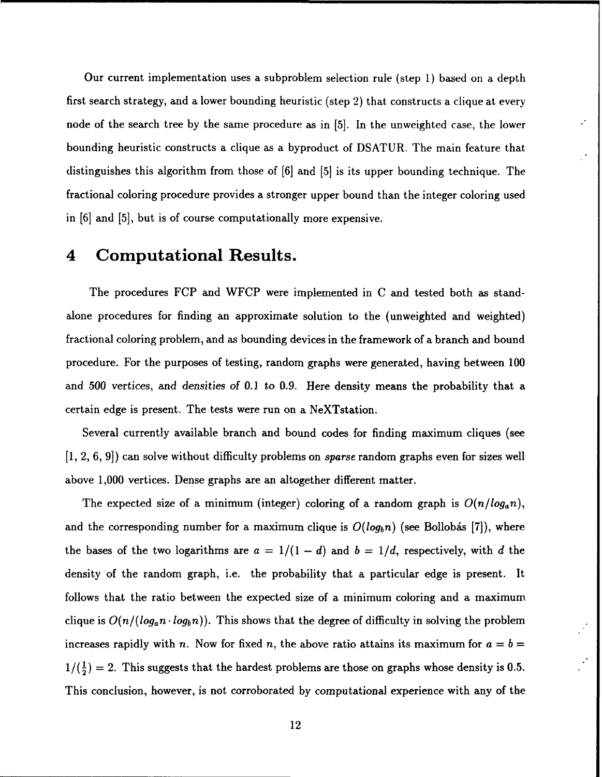Our current implementation uses a subproblem selection rule (step 1) based on a depth first search strategy, and a lower bounding heuristic (step 2) that constructs a clique at every node of the search tree by the same procedure as in [5]. In the unweighted case, the lower bounding heuristic constructs a clique as a byproduct of DSATUR. The main feature that distinguishes this algorithm from those of [6] and [5] is its upper bounding technique. The fractional coloring procedure provides a stronger upper bound than the integer coloring used in [6] and [5], but is of course computationally more expensive.

 $\cdot$ 

### 4 Computational Results.

The procedures FCP and WFCP were implemented in C and tested both as standalone procedures for finding an approximate solution to the (unweighted and weighted) fractional coloring problem, and as bounding devices in the framework of a branch and bound procedure. For the purposes of testing, random graphs were generated, having between 100 and 500 vertices, and *densities* of 0.1 to 0.9. Here density means the probability that a certain edge is present. The tests were run on a NeXTstation.

Several currently available branch and bound codes for finding maximum cliques (see [1, 2, 6, 9]) can solve without difficulty problems on sparse random graphs even for sizes well above 1,000 vertices. Dense graphs are an altogether different matter.

The expected size of a minimum (integer) coloring of a random graph is  $O(n/log_a n)$ , and the corresponding number for a maximum clique is  $O(log_b n)$  (see Bollobás [7]), where the bases of the two logarithms are  $a = 1/(1-d)$  and  $b = 1/d$ , respectively, with d the density of the random graph, i.e. the probability that a particular edge is present. It follows that the ratio between the expected size of a minimum coloring and a maximum clique is  $O(n/(\log_a n \cdot log_b n))$ . This shows that the degree of difficulty in solving the problem increases rapidly with n. Now for fixed n, the above ratio attains its maximum for  $a = b =$  $1/(\frac{1}{2}) = 2$ . This suggests that the hardest problems are those on graphs whose density is 0.5. This conclusion, however, is not corroborated by computational experience with any of the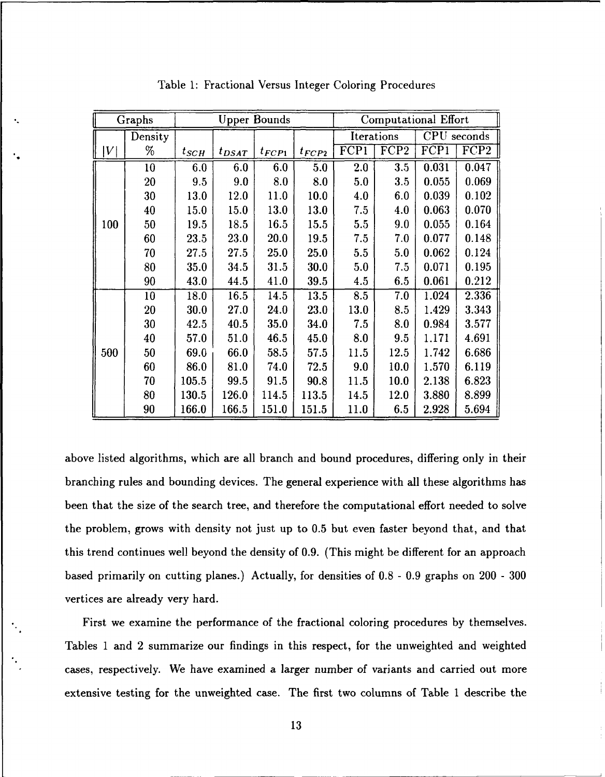|                 | Graphs  | <b>Upper Bounds</b> |            |                  |                  |      | Computational Effort |       |                  |  |
|-----------------|---------|---------------------|------------|------------------|------------------|------|----------------------|-------|------------------|--|
|                 | Density |                     |            |                  |                  |      | Iterations           |       | CPU seconds      |  |
| $\vert V \vert$ | $\%$    | $t_{SCH}$           | $t_{DSAT}$ | $t_{\pmb{FCP1}}$ | $t_{\pmb{FCP2}}$ | FCP1 | $\overline{FCP2}$    | FCP1  | FCP <sub>2</sub> |  |
|                 | 10      | 6.0                 | 6.0        | 6.0              | 5.0              | 2.0  | 3.5                  | 0.031 | 0.047            |  |
|                 | 20      | 9.5                 | 9.0        | 8.0              | 8.0              | 5.0  | 3.5                  | 0.055 | 0.069            |  |
|                 | 30      | 13.0                | 12.0       | 11.0             | 10.0             | 4.0  | 6.0                  | 0.039 | 0.102            |  |
|                 | 40      | 15.0                | 15.0       | 13.0             | 13.0             | 7.5  | 4.0                  | 0.063 | 0.070            |  |
| 100             | 50      | 19.5                | 18.5       | 16.5             | 15.5             | 5.5  | 9.0                  | 0.055 | 0.164            |  |
|                 | 60      | 23.5                | 23.0       | 20.0             | 19.5             | 7.5  | 7.0                  | 0.077 | 0.148            |  |
|                 | 70      | 27.5                | 27.5       | 25.0             | 25.0             | 5.5  | 5.0                  | 0.062 | 0.124            |  |
|                 | 80      | 35.0                | 34.5       | 31.5             | 30.0             | 5.0  | 7.5                  | 0.071 | 0.195            |  |
|                 | 90      | 43.0                | 44.5       | 41.0             | 39.5             | 4.5  | 6.5                  | 0.061 | 0.212            |  |
|                 | 10      | 18.0                | 16.5       | 14.5             | 13.5             | 8.5  | 7.0                  | 1.024 | 2.336            |  |
|                 | 20      | 30.0                | 27.0       | 24.0             | 23.0             | 13.0 | 8.5                  | 1.429 | 3.343            |  |
|                 | 30      | 42.5                | 40.5       | 35.0             | 34.0             | 7.5  | 8.0                  | 0.984 | 3.577            |  |
|                 | 40      | 57.0                | 51.0       | 46.5             | 45.0             | 8.0  | 9.5                  | 1.171 | 4.691            |  |
| 500             | 50      | 69.0                | 66.0       | 58.5             | 57.5             | 11.5 | 12.5                 | 1.742 | 6.686            |  |
|                 | 60      | 86.0                | 81.0       | 74.0             | 72.5             | 9.0  | 10.0                 | 1.570 | 6.119            |  |
|                 | 70      | 105.5               | 99.5       | 91.5             | 90.8             | 11.5 | 10.0                 | 2.138 | 6.823            |  |
|                 | 80      | 130.5               | 126.0      | 114.5            | 113.5            | 14.5 | 12.0                 | 3.880 | 8.899            |  |
|                 | 90      | 166.0               | 166.5      | 151.0            | 151.5            | 11.0 | 6.5                  | 2.928 | 5.694            |  |

Table 1: Fractional Versus Integer Coloring Procedures

above listed algorithms, which are all branch and bound procedures, differing only in their branching rules and bounding devices. The general experience with all these algorithms has been that the size of the search tree, and therefore the computational effort needed to solve the problem, grows with density not just up to 0.5 but even faster beyond that, and that this trend continues well beyond the density of 0.9. (This might be different for an approach based primarily on cutting planes.) Actually, for densities of 0.8 - 0.9 graphs on 200 - 300 vertices are already very hard.

First we examine the performance of the fractional coloring procedures by themselves. Tables 1 and 2 summarize our findings in this respect, for the unweighted and weighted cases, respectively. We have examined a larger number of variants and carried out more extensive testing for the unweighted case. The first two columns of Table 1 describe the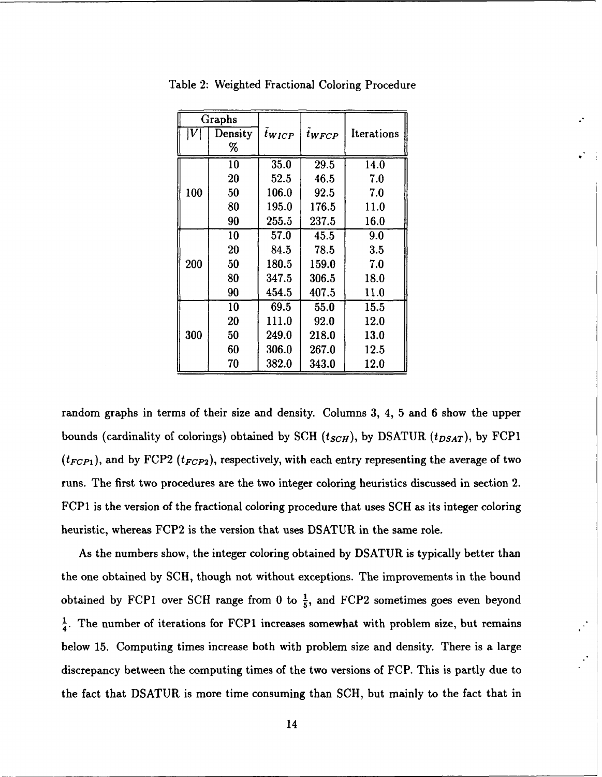|     | Graphs  |                    |            |            |  |
|-----|---------|--------------------|------------|------------|--|
| IV  | Density | $\tilde{t}_{WICP}$ | $t_{WFCP}$ | Iterations |  |
|     | %       |                    |            |            |  |
|     | 10      | 35.0               | 29.5       | 14.0       |  |
|     | 20      | 52.5               | 46.5       | $7.0\,$    |  |
| 100 | 50      | 106.0              | 92.5       | 7.0        |  |
|     | 80      | 195.0              | 176.5      | 11.0       |  |
|     | 90      | 255.5              | 237.5      | 16.0       |  |
|     | 10      | 57.0               | 45.5       | 9.0        |  |
|     | 20      | 84.5               | 78.5       | 3.5        |  |
| 200 | 50      | 180.5              | 159.0      | 7.0        |  |
|     | 80      | 347.5              | 306.5      | 18.0       |  |
|     | 90      | 454.5              | 407.5      | 11.0       |  |
|     | 10      | 69.5               | 55.0       | 15.5       |  |
|     | 20      | 111.0              | 92.0       | 12.0       |  |
| 300 | 50      | 249.0              | 218.0      | 13.0       |  |
|     | 60      | 306.0              | 267.0      | 12.5       |  |
|     | 70      | 382.0              | 343.0      | 12.0       |  |

Table 2: Weighted Fractional Coloring Procedure

random graphs in terms of their size and density. Columns 3, 4, 5 and 6 show the upper bounds (cardinality of colorings) obtained by SCH  $(t_{SCH})$ , by DSATUR  $(t_{DSAT})$ , by FCP1  $(t_{FCP1})$ , and by FCP2  $(t_{FCP2})$ , respectively, with each entry representing the average of two runs. The first two procedures are the two integer coloring heuristics discussed in section 2. FCP1 is the version of the fractional coloring procedure that uses SCH as its integer coloring heuristic, whereas FCP2 is the version that uses DSATUR in the same role.

As the numbers show, the integer coloring obtained by DSATUR is typically better than the one obtained by SCH, though not without exceptions. The improvements in the bound obtained by FCP1 over SCH range from 0 to  $\frac{1}{5}$ , and FCP2 sometimes goes even beyond  $\frac{1}{4}$ . The number of iterations for FCP1 increases somewhat with problem size, but remains below 15. Computing times increase both with problem size and density. There is a large discrepancy between the computing times of the two versions of FCP. This is partly due to the fact that DSATUR is more time consuming than SCH, but mainly to the fact that in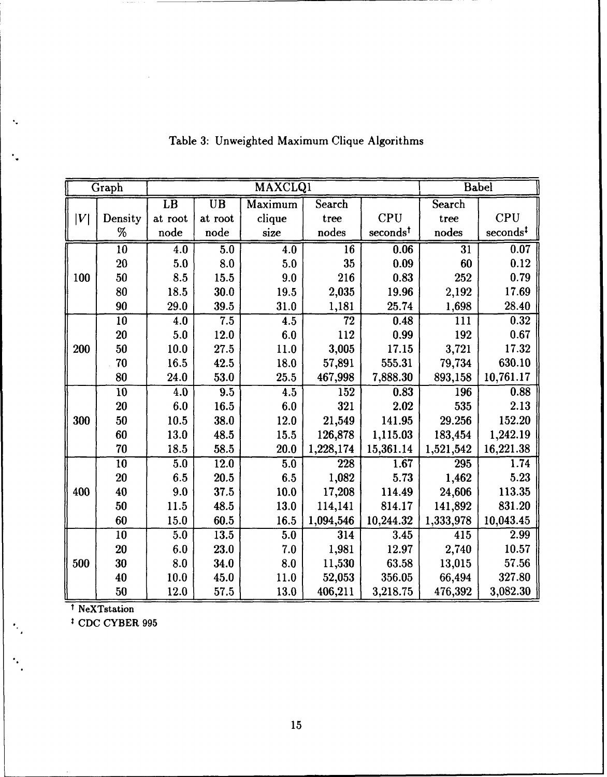|     | Graph           |                 |                          | <b>MAXCLQ1</b>   |                 |                      |                 | <b>Babel</b>         |
|-----|-----------------|-----------------|--------------------------|------------------|-----------------|----------------------|-----------------|----------------------|
|     |                 | $\overline{LB}$ | $\overline{\mathtt{UB}}$ | Maximum          | Search          |                      | Search          |                      |
| V   | Density         | at root         | at root                  | clique           | tree            | <b>CPU</b>           | tree            | <b>CPU</b>           |
|     | %               | node            | node                     | size             | nodes           | seconds <sup>t</sup> | nodes           | seconds <sup>‡</sup> |
|     | $\overline{10}$ | 4.0             | $\overline{5.0}$         | $\overline{4.0}$ | $\overline{16}$ | 0.06                 | $\overline{31}$ | 0.07                 |
|     | 20              | 5.0             | 8.0                      | 5.0              | 35              | 0.09                 | 60              | 0.12                 |
| 100 | 50              | 8.5             | 15.5                     | 9.0              | 216             | 0.83                 | 252             | 0.79                 |
|     | 80              | 18.5            | 30.0                     | 19.5             | 2,035           | 19.96                | 2,192           | 17.69                |
|     | 90              | 29.0            | 39.5                     | 31.0             | 1,181           | 25.74                | 1,698           | 28.40                |
|     | 10              | 4.0             | 7.5                      | 4.5              | 72              | 0.48                 | 111             | 0.32                 |
|     | <b>20</b>       | 5.0             | 12.0                     | 6.0              | 112             | 0.99                 | 192             | 0.67                 |
| 200 | 50              | 10.0            | 27.5                     | 11.0             | 3,005           | 17.15                | 3,721           | 17.32                |
|     | 70              | 16.5            | 42.5                     | 18.0             | 57,891          | 555.31               | 79,734          | 630.10               |
|     | 80              | 24.0            | 53.0                     | 25.5             | 467,998         | 7,888.30             | 893,158         | 10,761.17            |
|     | 10              | 4.0             | 9.5                      | 4.5              | 152             | 0.83                 | 196             | 0.88                 |
|     | 20              | 6.0             | 16.5                     | 6.0              | 321             | 2.02                 | 535             | 2.13                 |
| 300 | 50              | 10.5            | 38.0                     | 12.0             | 21,549          | 141.95               | 29.256          | 152.20               |
|     | 60              | 13.0            | 48.5                     | 15.5             | 126,878         | 1,115.03             | 183,454         | 1,242.19             |
|     | 70              | 18.5            | 58.5                     | 20.0             | 1,228,174       | 15,361.14            | 1,521,542       | 16,221.38            |
|     | $\overline{10}$ | 5.0             | 12.0                     | 5.0              | 228             | 1.67                 | 295             | 1.74                 |
|     | 20              | 6.5             | 20.5                     | 6.5              | 1,082           | 5.73                 | 1,462           | 5.23                 |
| 400 | 40              | 9.0             | 37.5                     | 10.0             | 17,208          | 114.49               | 24,606          | 113.35               |
|     | 50              | 11.5            | 48.5                     | 13.0             | 114,141         | 814.17               | 141,892         | 831.20               |
|     | 60              | 15.0            | 60.5                     | 16.5             | 1,094,546       | 10,244.32            | 1,333,978       | 10,043.45            |
|     | 10              | 5.0             | 13.5                     | 5.0              | 314             | 3.45                 | 415             | 2.99                 |
|     | <b>20</b>       | 6.0             | 23.0                     | 7.0              | 1,981           | 12.97                | 2,740           | 10.57                |
| 500 | 30              | 8.0             | 34.0                     | 8.0              | 11,530          | 63.58                | 13,015          | 57.56                |
|     | 40              | 10.0            | 45.0                     | 11.0             | 52,053          | 356.05               | 66,494          | 327.80               |
|     | 50              | 12.0            | 57.5                     | 13.0             | 406,211         | 3,218.75             | 476,392         | 3,082.30             |

# Table 3: Unweighted Maximum Clique Algorithms

t NeXTstation

 $\bullet$ 

 $\ddagger$  CDC CYBER 995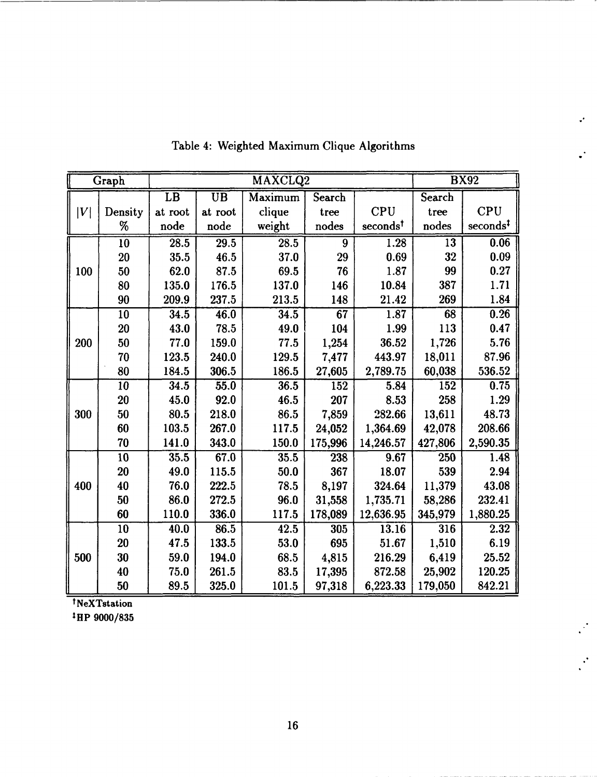|                  | Graph   |                 |                 | MAXCLQ2 |         |                      |         | <b>BX92</b>          |
|------------------|---------|-----------------|-----------------|---------|---------|----------------------|---------|----------------------|
|                  |         | $\overline{LB}$ | $\overline{UB}$ | Maximum | Search  |                      | Search  |                      |
| $\left V\right $ | Density | at root         | at root         | clique  | tree    | <b>CPU</b>           | tree    | <b>CPU</b>           |
|                  | %       | node            | node            | weight  | nodes   | seconds <sup>t</sup> | nodes   | seconds <sup>‡</sup> |
|                  | 10      | 28.5            | 29.5            | 28.5    | 9       | 1.28                 | 13      | 0.06                 |
|                  | 20      | 35.5            | 46.5            | 37.0    | 29      | 0.69                 | 32      | 0.09                 |
| 100              | 50      | 62.0            | 87.5            | 69.5    | 76      | 1.87                 | 99      | 0.27                 |
|                  | 80      | 135.0           | 176.5           | 137.0   | 146     | 10.84                | 387     | 1.71                 |
|                  | 90      | 209.9           | 237.5           | 213.5   | 148     | 21.42                | 269     | 1.84                 |
|                  | 10      | 34.5            | 46.0            | 34.5    | 67      | 1.87                 | 68      | 0.26                 |
|                  | 20      | 43.0            | 78.5            | 49.0    | 104     | 1.99                 | 113     | 0.47                 |
| 200              | 50      | 77.0            | 159.0           | 77.5    | 1,254   | 36.52                | 1,726   | 5.76                 |
|                  | 70      | 123.5           | 240.0           | 129.5   | 7,477   | 443.97               | 18,011  | 87.96                |
|                  | 80      | 184.5           | 306.5           | 186.5   | 27,605  | 2,789.75             | 60,038  | 536.52               |
|                  | 10      | 34.5            | 55.0            | 36.5    | 152     | 5.84                 | 152     | 0.75                 |
|                  | 20      | 45.0            | 92.0            | 46.5    | 207     | 8.53                 | 258     | 1.29                 |
| 300              | 50      | 80.5            | 218.0           | 86.5    | 7,859   | 282.66               | 13,611  | 48.73                |
|                  | 60      | 103.5           | 267.0           | 117.5   | 24,052  | 1,364.69             | 42,078  | 208.66               |
|                  | 70      | 141.0           | 343.0           | 150.0   | 175,996 | 14,246.57            | 427,806 | 2,590.35             |
|                  | 10      | 35.5            | 67.0            | 35.5    | 238     | 9.67                 | 250     | 1.48                 |
|                  | 20      | 49.0            | 115.5           | 50.0    | 367     | 18.07                | 539     | 2.94                 |
| 400              | 40      | 76.0            | 222.5           | 78.5    | 8,197   | 324.64               | 11,379  | 43.08                |
|                  | 50      | 86.0            | 272.5           | 96.0    | 31,558  | 1,735.71             | 58,286  | 232.41               |
|                  | 60      | 110.0           | 336.0           | 117.5   | 178,089 | 12,636.95            | 345,979 | 1,880.25             |
|                  | 10      | 40.0            | 86.5            | 42.5    | 305     | 13.16                | 316     | 2.32                 |
|                  | 20      | 47.5            | 133.5           | 53.0    | 695     | 51.67                | 1,510   | 6.19                 |
| 500              | 30      | 59.0            | 194.0           | 68.5    | 4,815   | 216.29               | 6,419   | 25.52                |
|                  | 40      | 75.0            | 261.5           | 83.5    | 17,395  | 872.58               | 25.902  | 120.25               |
|                  | 50      | 89.5            | 325.0           | 101.5   | 97,318  | 6,223.33             | 179,050 | 842.21               |

Table 4: Weighted Maximum Clique Algorithms

 $\cdot$ 

 $\mathbf{L}^{\mathbf{L}}$ 

 $\mathcal{P}^{\mathcal{C}}$ 

 $\mathcal{L}$ 

tNeXTstation

tHP 9000/835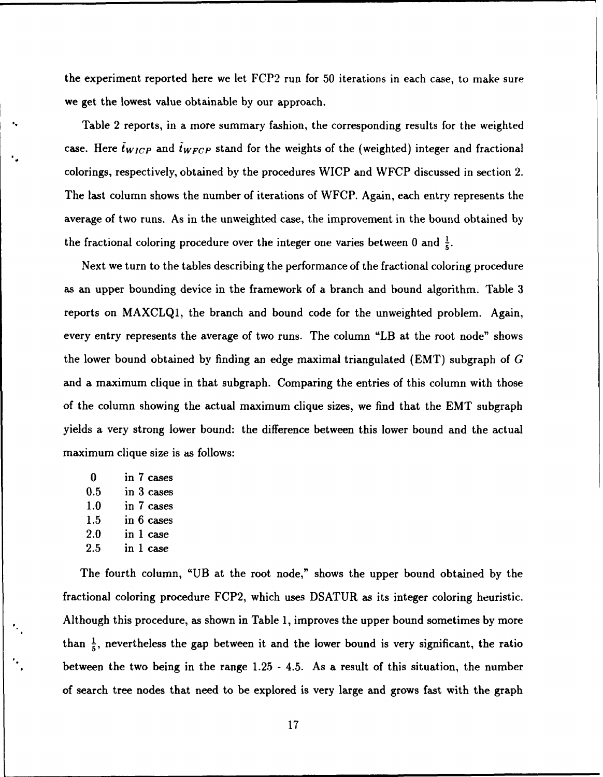the experiment reported here we let FCP2 run for 50 iterations in each case, to make sure we get the lowest value obtainable by our approach.

Table 2 reports, in a more summary fashion, the corresponding results for the weighted case. Here  $\tilde{t}_{WICP}$  and  $\tilde{t}_{WFCP}$  stand for the weights of the (weighted) integer and fractional colorings, respectively, obtained by the procedures WICP and WFCP discussed in section 2. The last column shows the number of iterations of WFCP. Again, each entry represents the average of two runs. As in the unweighted case, the improvement in the bound obtained by the fractional coloring procedure over the integer one varies between 0 and  $\frac{1}{5}$ .

Next we turn to the tables describing the performance of the fractional coloring procedure as an upper bounding device in the framework of a branch and bound algorithm. Table 3 reports on MAXCLQ1, the branch and bound code for the unweighted problem. Again, every entry represents the average of two runs. The column "LB at the root node" shows the lower bound obtained by finding an edge maximal triangulated (EMT) subgraph of  $G$ and a maximum clique in that subgraph. Comparing the entries of this column with those of the column showing the actual maximum clique sizes, we find that the EMT subgraph yields a very strong lower bound: the difference between this lower bound and the actual maximum clique size is as follows:

0 in **7** cases 0.5 in 3 cases 1.0 in 7 cases 1.5 in **6** cases 2.0 in 1 case 2.5 in 1 case

The fourth column, "UB at the root node," shows the upper bound obtained by the fractional coloring procedure FCP2, which uses DSATUR as its integer coloring heuristic. Although this procedure, as shown in Table 1, improves the upper bound sometimes by more than  $\frac{1}{5}$ , nevertheless the gap between it and the lower bound is very significant, the ratio between the two being in the range 1.25 - 4.5. As a result of this situation, the number of search tree nodes that need to be explored is very large and grows fast with the graph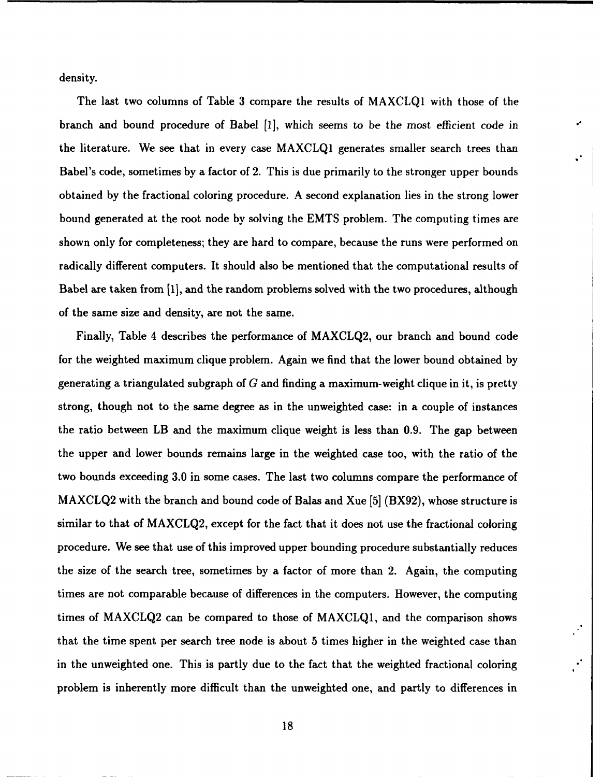density.

The last two columns of Table 3 compare the results of MAXCLQ1 with those of the branch and bound procedure of Babel [1], which seems to be the most efficient code in the literature. We see that in every case MAXCLQ1 generates smaller search trees than Babel's code, sometimes by a factor of 2. This is due primarily to the stronger upper bounds obtained by the fractional coloring procedure. A second explanation lies in the strong lower bound generated at the root node by solving the EMTS problem. The computing times are shown only for completeness; they are hard to compare, because the runs were performed on radically different computers. It should also be mentioned that the computational results of Babel are taken from [1], and the random problems solved with the two procedures, although of the same size and density, are not the same.

Finally, Table 4 describes the performance of MAXCLQ2, our branch and bound code for the weighted maximum clique problem. Again we find that the lower bound obtained by generating a triangulated subgraph of G and finding a maximum-weight clique in it, is pretty strong, though not to the same degree as in the unweighted case: in a couple of instances the ratio between LB and the maximum clique weight is less than 0.9. The gap between the upper and lower bounds remains large in the weighted case too, with the ratio of the two bounds exceeding 3.0 in some cases. The last two columns compare the performance of MAXCLQ2 with the branch and bound code of Balas and Xue [5] (BX92), whose structure is similar to that of MAXCLQ2, except for the fact that it does not use the fractional coloring procedure. We see that use of this improved upper bounding procedure substantially reduces the size of the search tree, sometimes by a factor of more than 2. Again, the computing times are not comparable because of differences in the computers. However, the computing times of MAXCLQ2 can be compared to those of MAXCLQ1, and the comparison shows that the time spent per search tree node is about 5 times higher in the weighted case than in the unweighted one. This is partly due to the fact that the weighted fractional coloring problem is inherently more difficult than the unweighted one, and partly to differences in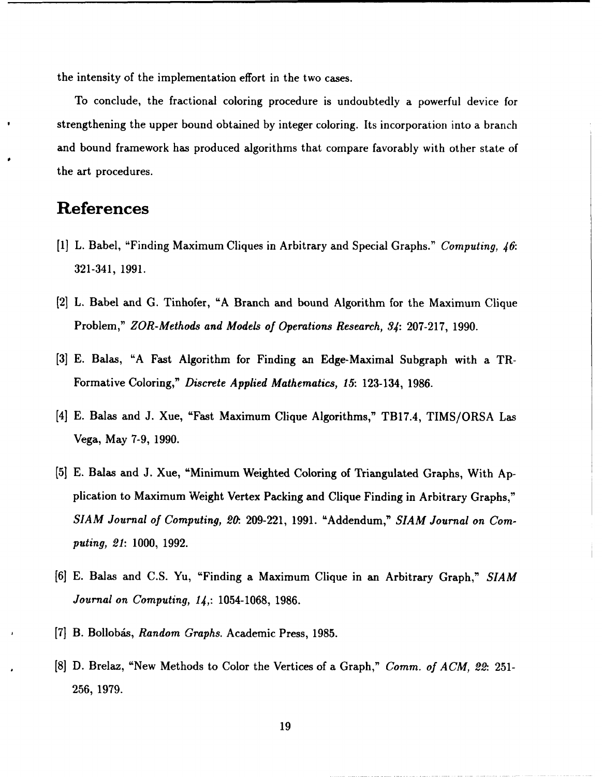the intensity of the implementation effort in the two cases.

To conclude, the fractional coloring procedure is undoubtedly a powerful device for strengthening the upper bound obtained by integer coloring. Its incorporation into a branch and bound framework has produced algorithms that compare favorably with other state of the art procedures.

# References

- [1] L. Babel, "Finding Maximum Cliques in Arbitrary and Special Graphs." Computing, *46:* 321-341, 1991.
- [21 L. Babel and G. Tinhofer, "A Branch and bound Algorithm for the Maximum Clique Problem," *ZOR-Methods and Models of Operations Research,* 34: 207-217, 1990.
- [3] E. Balas, "A Fast Algorithm for Finding an Edge-Maximal Subgraph with a TR-Formative Coloring," *Discrete Applied Mathematics, 15:* 123-134, 1986.
- [4] E. Balas and J. Xue, "Fast Maximum Clique Algorithms," TB17.4, TIMS/ORSA Las Vega, May 7-9, 1990.
- [5] E. Balas and J. Xue, "Minimum Weighted Coloring of Triangulated Graphs, With Application to Maximum Weight Vertex Packing and Clique Finding in Arbitrary Graphs," *SIAM Journal* of Computing, *20.* 209-221, 1991. "Addendum," SIAM Journal on Computing, 21: 1000, 1992.
- [6] E. Balas and C.S. Yu, "Finding a Maximum Clique in an Arbitrary Graph," *SIAM* Journal on Computing, 14,: 1054-1068, 1986.
- **[7]** B. Bollobis, Random Graphs. Academic Press, 1985.
- [8] D. Brelaz, "New Methods to Color the Vertices of a Graph," Comm. *of ACM, 22.* 251- 256, 1979.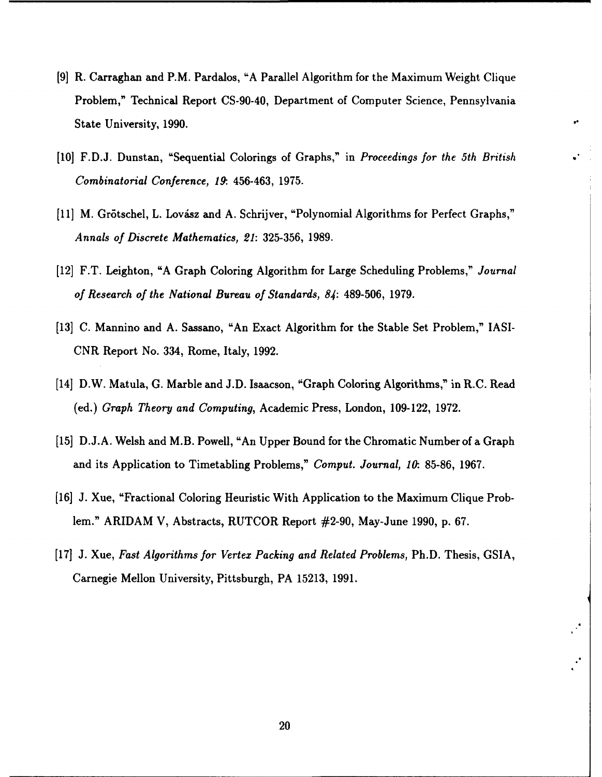- [9] R. Carraghan and P.M. Pardalos, "A Parallel Algorithm for the Maximum Weight Clique Problem," Technical Report CS-90-40, Department of Computer Science, Pennsylvania State University, 1990.
- [10] F.D.J. Dunstan, "Sequential Colorings of Graphs," in *Proceedings for the 5th British* Combinatorial Conference, **19:** 456-463, 1975.
- [11] M. Grötschel, L. Lovász and A. Schrijver, "Polynomial Algorithms for Perfect Graphs," Annals *of Discrete Mathematics,* 21: 325-356, 1989.
- [12] F.T. Leighton, "A Graph Coloring Algorithm for Large Scheduling Problems," Journal *of Research of the National* Bureau *of Standards, 84:* 489-506, 1979.
- [13] C. Mannino and A. Sassano, "An Exact Algorithm for the Stable Set Problem," IASI-CNR Report No. 334, Rome, Italy, 1992.
- [14] D.W. Matula, G. Marble and J.D. Isaacson, "Graph Coloring Algorithms," in R.C. Read (ed.) *Graph Theory* and Computing, Academic Press, London, 109-122, 1972.
- [15] D.J.A. Welsh and M.B. Powell, "An Upper Bound for the Chromatic Number of a Graph and its Application to Timetabling Problems," Comput. Journal, *10.* 85-86, 1967.
- [16] J. Xue, "Fractional Coloring Heuristic With Application to the Maximum Clique Problem." ARIDAM V, Abstracts, RUTCOR Report #2-90, May-June 1990, p. 67.
- [17] J. Xue, *Fast Algorithms for Vertex Packing and Related* Problems, Ph.D. Thesis, GSIA, Carnegie Mellon University, Pittsburgh, PA 15213, 1991.